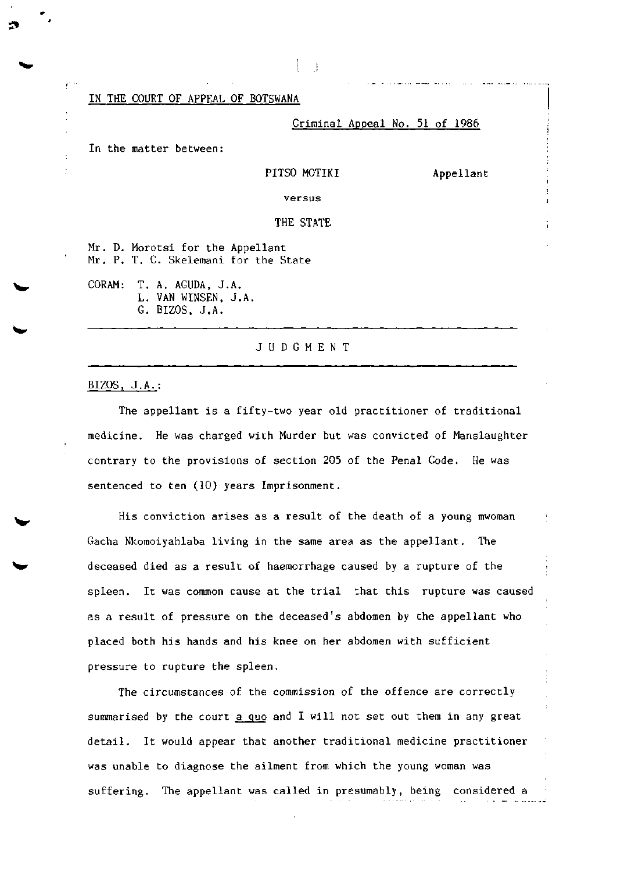IN THE COURT OF APPEAL OF BOTSWANA

Criminal Appeal No. 51 of 1986

In the matter between:

## PITSO MOTIKI Appellant

versus

## THE STATE

Mr. D. Morotsi for the Appellant Mr. P. T. C. Skelemani for the State

CORAM: T. A. AGUDA, J.A. L. VAN WINSEN, J.A. G. BIZOS, J.A.

## JUDGMEN T

## BIZOS, J.A. :

The appellant is a fifty-two year old practitioner of traditional medicine. He was charged with Murder but was convicted of Manslaughter contrary to the provisions of section 205 of the Penal Code. He was sentenced to ten (10) years Imprisonment.

His conviction arises as a result of the death of a young mwoman Gacha Nkomoiyahlaba living in the same area as the appellant. The deceased died as a result of haemorrhage caused by a rupture of the spleen. It was common cause at the trial that this rupture was caused as a result of pressure on the deceased's abdomen by the appellant who placed both his hands and his knee on her abdomen with sufficient pressure to rupture the spleen.

The circumstances of the commission of the offence are correctly summarised by the court a quo and I will not set out them in any great detail. It would appear that another traditional medicine practitioner was unable to diagnose the ailment from which the young woman was suffering. The appellant was called in presumably, being considered a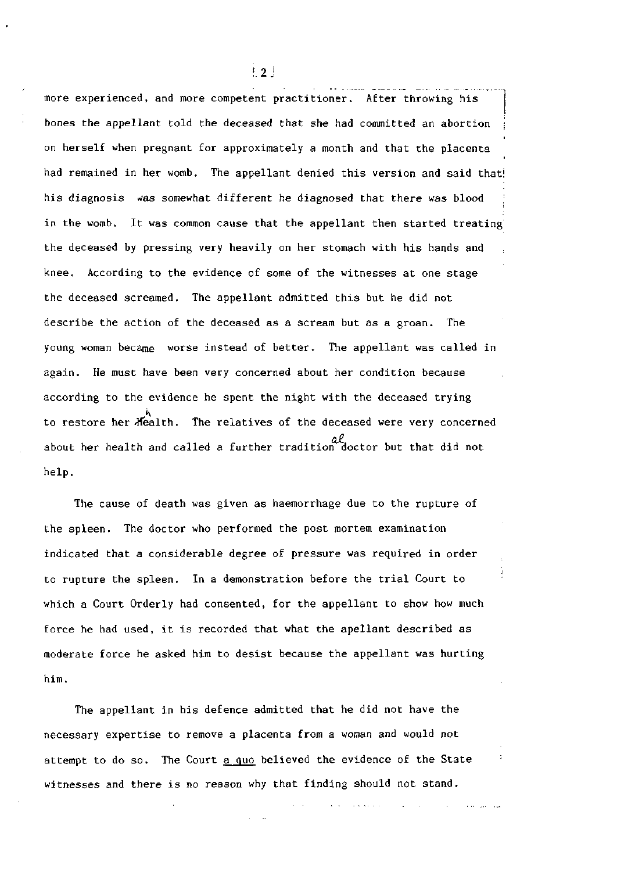more experienced, and more competent practitioner. After throwing his bones the appellant told the deceased that she had committed an abortion *\*  on herself when pregnant for approximately a month and that the placenta had remained in her womb. The appellant denied this version and said that! his diagnosis was somewhat different he diagnosed that there was blood in the womb. It was common cause that the appellant then started treating the deceased by pressing very heavily on her stomach with his hands and knee. According to the evidence of some of the witnesses at one stage the deceased screamed. The appellant admitted this but he did not describe the action of the deceased as a scream but as a groan. The young woman became worse instead of better. The appellant was called in again. He must have been very concerned about her condition because according to the evidence he spent the night with the deceased trying to restore her  $\overline{A}$ ealth. The relatives of the deceased were very concerned about her health and called a further tradition doctor but that did not help.

The cause of death was given as haemorrhage due to the rupture of the spleen. The doctor who performed the post mortem examination indicated that a considerable degree of pressure was required in order to rupture the spleen. In a demonstration before the trial Court to which a Court Orderly had consented, for the appellant to show how much force he had used, it is recorded that what the apellant described as moderate force he asked him to desist because the appellant was hurting him.

The appellant in his defence admitted that he did not have the necessary expertise to remove a placenta from a woman and would not attempt to do so. The Court a quo believed the evidence of the State witnesses and there is no reason why that finding should not stand.

 $\pm$  2 $\pm$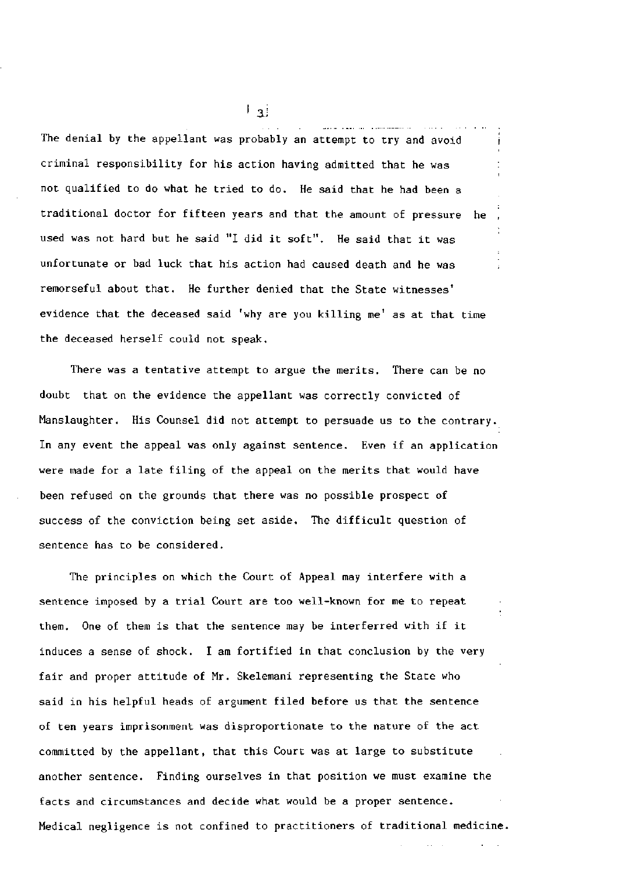The denial by the appellant was probably an attempt to try and avoid criminal responsibility for his action having admitted that he was not qualified to do what he tried to do. He said that he had been a traditional doctor for fifteen years and that the amount of pressure he used was not hard but he said "I did it soft". He said that it was unfortunate or bad luck that his action had caused death and he was remorseful about that. He further denied that the State witnesses' evidence that the deceased said 'why are you killing me' as at that time the deceased herself could not speak.

There was a tentative attempt to argue the merits. There can be no doubt that on the evidence the appellant was correctly convicted of Manslaughter. His Counsel did not attempt to persuade us to the contrary. In any event the appeal was only against sentence. Even if an application were made for a late filing of the appeal on the merits that would have been refused on the grounds that there was no possible prospect of success of the conviction being set aside. The difficult question of sentence has to be considered.

The principles on which the Court of Appeal may interfere with a sentence imposed by a trial Court are too well-known for me to repeat them. One of them is that the sentence may be interferred with if it induces a sense of shock. I am fortified in that conclusion by the very fair and proper attitude of Mr. Skelemani representing the State who said in his helpful heads of argument filed before us that the sentence of ten years imprisonment was disproportionate to the nature of the act committed by the appellant, that this Court was at large to substitute another sentence. Finding ourselves in that position we must examine the facts and circumstances and decide what would be a proper sentence. Medical negligence is not confined to practitioners of traditional medicine.

 $\lfloor$  3.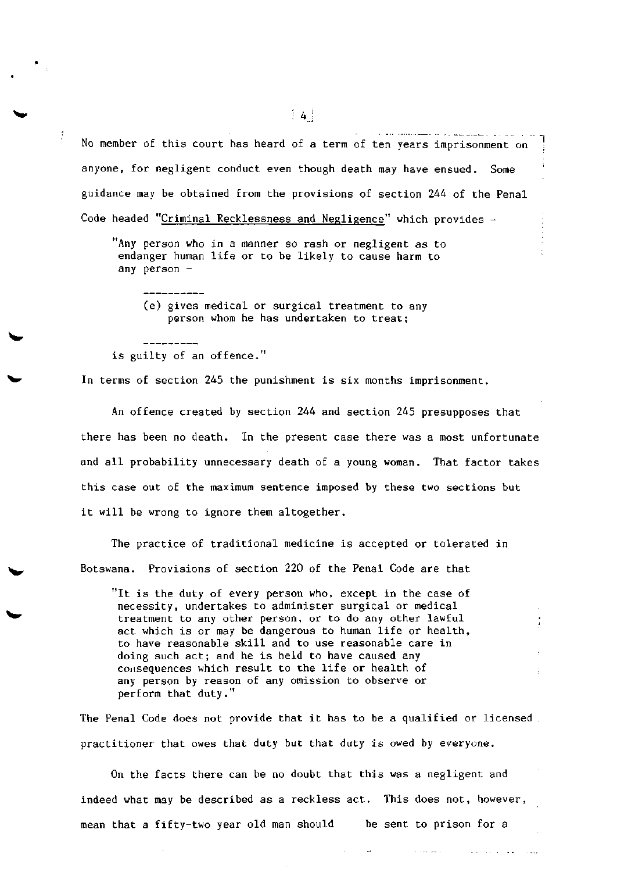No member of this court has heard of a term of ten years imprisonment on anyone, for negligent conduct even though death may have ensued. Some guidance may be obtained from the provisions of section 244 of the Penal Code headed "Criminal Recklessness and Negligence" which provides -

"Any person who in a manner so rash or negligent as to endanger human life or to be likely to cause harm to any person -

(e) gives medical or surgical treatment to any person whom he has undertaken to treat;

is guilty of an offence."

In terms of section 245 the punishment is six months imprisonment.

An offence created by section 244 and section 245 presupposes that there has been no death. In the present case there was a most unfortunate and all probability unnecessary death of a young woman. That factor takes this case out of the maximum sentence imposed by these two sections but it will be wrong to ignore them altogether.

The practice of traditional medicine is accepted or tolerated in Botswana. Provisions of section 220 of the Penal Code are that

"It is the duty of every person who, except in the case of necessity, undertakes to administer surgical or medical treatment to any other person, or to do any other lawful act which is or may be dangerous to human life or health, to have reasonable skill and to use reasonable care in doing such act; and he is held to have caused any consequences which result to the life or health of any person by reason of any omission to observe or perform that duty."

The Penal Code does not provide that it has to be a qualified or licensed practitioner that owes that duty but that duty is owed by everyone.

On the facts there can be no doubt that this was a negligent and indeed what may be described as a reckless act. This does not, however, mean that a fifty-two year old man should be sent to prison for a

 $\begin{bmatrix} 4 \end{bmatrix}$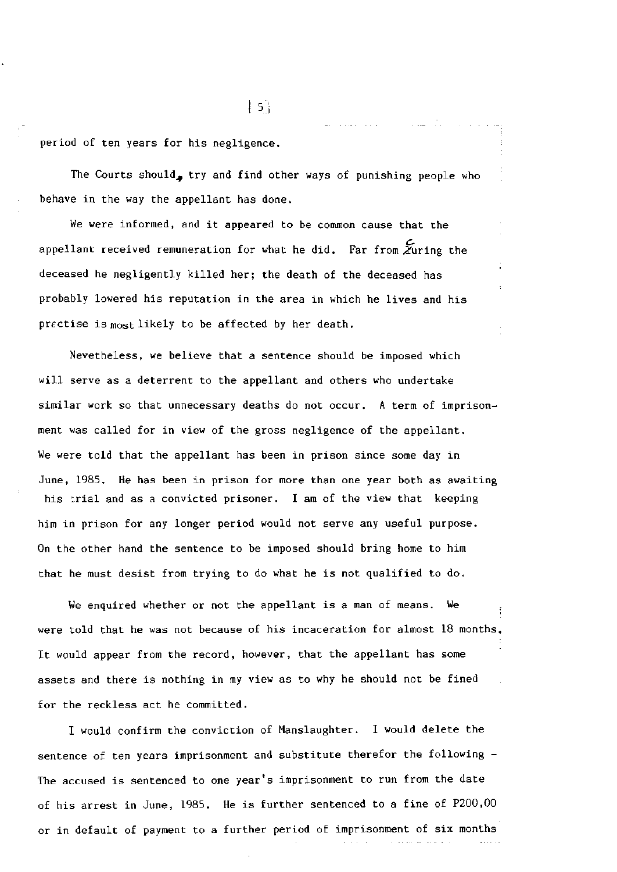period of ten years for his negligence.

The Courts should, try and find other ways of punishing people who behave in the way the appellant has done.

We were informed, and it appeared to be common cause that the appellant received remuneration for what he did. Far from  $\widetilde{\mathbf{z}}$ uring the deceased he negligently killed her; the death of the deceased has probably lowered his reputation in the area in which he lives and his prectise is most likely to be affected by her death.

Nevetheless, we believe that a sentence should be imposed which will serve as a deterrent to the appellant and others who undertake similar work so that unnecessary deaths do not occur. A term of imprisonment was called for in view of the gross negligence of the appellant. We were told that the appellant has been in prison since some day in June, 1985. He has been in prison for more than one year both as awaiting his trial and as a convicted prisoner. I am of the view that keeping him in prison for any longer period would not serve any useful purpose. On the other hand the sentence to be imposed should bring home to him that he must desist from trying to do what he is not qualified to do.

We enquired whether or not the appellant is a man of means. We were told that he was not because of his incaceration for almost 18 months, It would appear from the record, however, that the appellant has some assets and there is nothing in my view as to why he should not be fined for the reckless act he committed.

I would confirm the conviction of Manslaughter. I would delete the sentence of ten years imprisonment and substitute therefor the following - The accused is sentenced to one year's imprisonment to run from the date of his arrest in June, 1985. He is further sentenced to a fine of P200,00 or in default of payment to a further period of imprisonment of six months